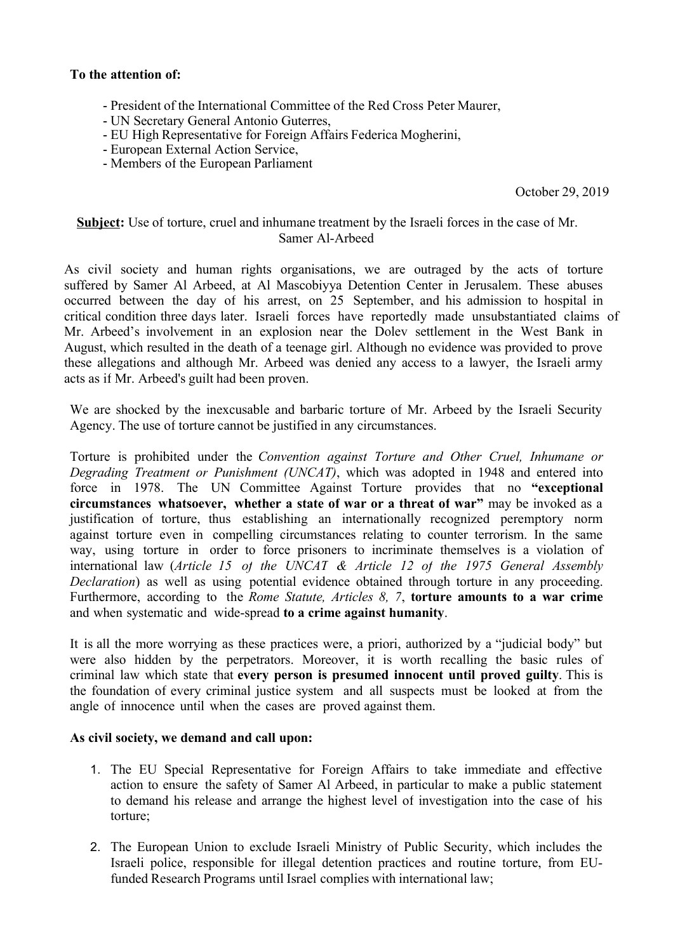## **To the attention of:**

- President of the International Committee of the Red Cross Peter Maurer,
- UN Secretary General Antonio Guterres,
- EU High Representative for Foreign Affairs Federica Mogherini,
- European External Action Service,
- Members of the European Parliament

October 29, 2019

## **Subject:** Use of torture, cruel and inhumane treatment by the Israeli forces in the case of Mr. Samer Al-Arbeed

As civil society and human rights organisations, we are outraged by the acts of torture suffered by Samer Al Arbeed, at Al Mascobiyya Detention Center in Jerusalem. These abuses occurred between the day of his arrest, on 25 September, and his admission to hospital in critical condition three days later. Israeli forces have reportedly made unsubstantiated claims of Mr. Arbeed's involvement in an explosion near the Dolev settlement in the West Bank in August, which resulted in the death of a teenage girl. Although no evidence was provided to prove these allegations and although Mr. Arbeed was denied any access to a lawyer, the Israeli army acts as if Mr. Arbeed's guilt had been proven.

We are shocked by the inexcusable and barbaric torture of Mr. Arbeed by the Israeli Security Agency. The use of torture cannot be justified in any circumstances.

Torture is prohibited under the *Convention against Torture and Other Cruel, Inhumane or Degrading Treatment or Punishment (UNCAT)*, which was adopted in 1948 and entered into force in 1978. The UN Committee Against Torture provides that no **"exceptional circumstances whatsoever, whether a state of war or a threat of war"** may be invoked as a justification of torture, thus establishing an internationally recognized peremptory norm against torture even in compelling circumstances relating to counter terrorism. In the same way, using torture in order to force prisoners to incriminate themselves is a violation of international law (*Article 15 of the UNCAT & Article 12 of the 1975 General Assembly Declaration*) as well as using potential evidence obtained through torture in any proceeding. Furthermore, according to the *Rome Statute, Articles 8, 7*, **torture amounts to a war crime** and when systematic and wide-spread **to a crime against humanity**.

It is all the more worrying as these practices were, a priori, authorized by a "judicial body" but were also hidden by the perpetrators. Moreover, it is worth recalling the basic rules of criminal law which state that **every person is presumed innocent until proved guilty**. This is the foundation of every criminal justice system and all suspects must be looked at from the angle of innocence until when the cases are proved against them.

## **As civil society, we demand and call upon:**

- 1. The EU Special Representative for Foreign Affairs to take immediate and effective action to ensure the safety of Samer Al Arbeed, in particular to make a public statement to demand his release and arrange the highest level of investigation into the case of his torture;
- 2. The European Union to exclude Israeli Ministry of Public Security, which includes the Israeli police, responsible for illegal detention practices and routine torture, from EUfunded Research Programs until Israel complies with international law;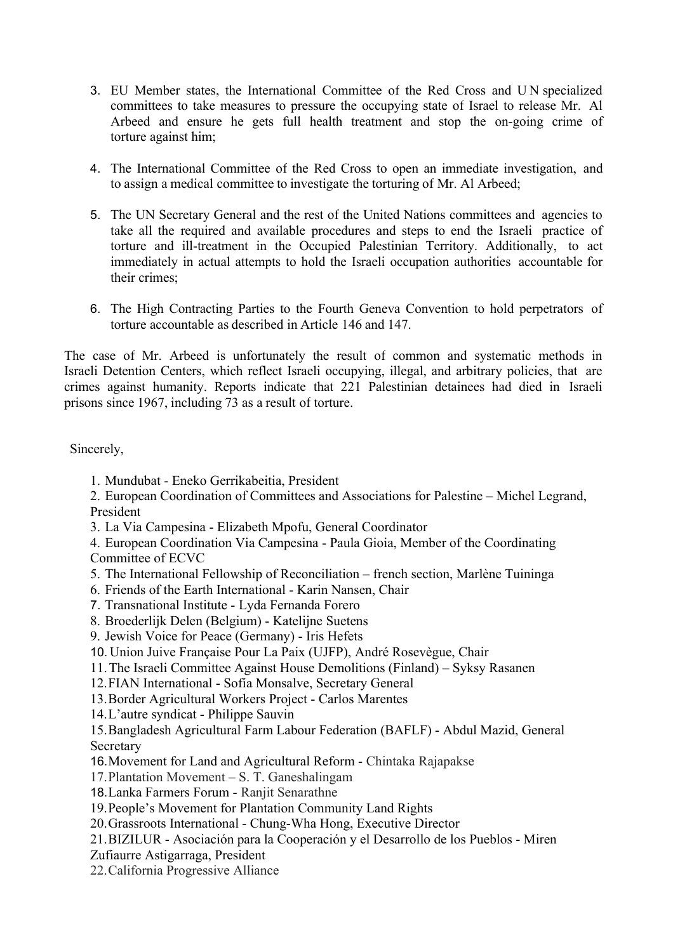- 3. EU Member states, the International Committee of the Red Cross and U N specialized committees to take measures to pressure the occupying state of Israel to release Mr. Al Arbeed and ensure he gets full health treatment and stop the on-going crime of torture against him;
- 4. The International Committee of the Red Cross to open an immediate investigation, and to assign a medical committee to investigate the torturing of Mr. Al Arbeed;
- 5. The UN Secretary General and the rest of the United Nations committees and agencies to take all the required and available procedures and steps to end the Israeli practice of torture and ill-treatment in the Occupied Palestinian Territory. Additionally, to act immediately in actual attempts to hold the Israeli occupation authorities accountable for their crimes;
- 6. The High Contracting Parties to the Fourth Geneva Convention to hold perpetrators of torture accountable as described in Article 146 and 147.

The case of Mr. Arbeed is unfortunately the result of common and systematic methods in Israeli Detention Centers, which reflect Israeli occupying, illegal, and arbitrary policies, that are crimes against humanity. Reports indicate that 221 Palestinian detainees had died in Israeli prisons since 1967, including 73 as a result of torture.

Sincerely,

- 1. Mundubat Eneko Gerrikabeitia, President
- 2. European Coordination of Committees and Associations for Palestine Michel Legrand, President
- 3. La Via Campesina Elizabeth Mpofu, General Coordinator
- 4. European Coordination Via Campesina Paula Gioia, Member of the Coordinating Committee of ECVC
- 5. The International Fellowship of Reconciliation french section, Marlène Tuininga
- 6. Friends of the Earth International Karin Nansen, Chair
- 7. Transnational Institute Lyda Fernanda Forero
- 8. Broederlijk Delen (Belgium) Katelijne Suetens
- 9. Jewish Voice for Peace (Germany) Iris Hefets
- 10. Union Juive Française Pour La Paix (UJFP), André Rosevègue, Chair
- 11.The Israeli Committee Against House Demolitions (Finland) Syksy Rasanen
- 12.FIAN International Sofía Monsalve, Secretary General
- 13.Border Agricultural Workers Project Carlos Marentes
- 14.L'autre syndicat Philippe Sauvin

15.Bangladesh Agricultural Farm Labour Federation (BAFLF) - Abdul Mazid, General **Secretary** 

- 16.Movement for Land and Agricultural Reform Chintaka Rajapakse
- 17.Plantation Movement S. T. Ganeshalingam
- 18.Lanka Farmers Forum Ranjit Senarathne
- 19.People's Movement for Plantation Community Land Rights
- 20.Grassroots International Chung-Wha Hong, Executive Director
- 21.BIZILUR Asociación para la Cooperación y el Desarrollo de los Pueblos Miren
- Zufiaurre Astigarraga, President
- 22.California Progressive Alliance